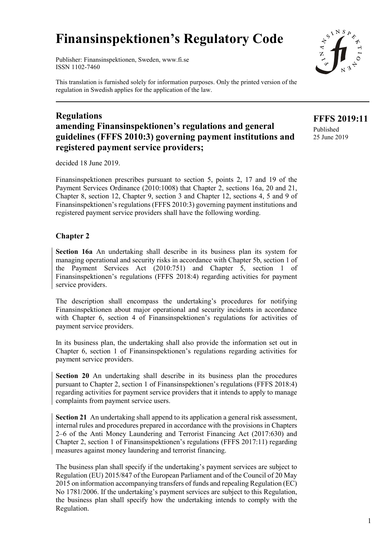# **Finansinspektionen's Regulatory Code**

Publisher: Finansinspektionen, Sweden, www.fi.se ISSN 1102-7460

This translation is furnished solely for information purposes. Only the printed version of the regulation in Swedish applies for the application of the law.

## **Regulations amending Finansinspektionen's regulations and general guidelines (FFFS 2010:3) governing payment institutions and registered payment service providers;**

decided 18 June 2019.

Finansinspektionen prescribes pursuant to section 5, points 2, 17 and 19 of the Payment Services Ordinance (2010:1008) that Chapter 2, sections 16a, 20 and 21, Chapter 8, section 12, Chapter 9, section 3 and Chapter 12, sections 4, 5 and 9 of Finansinspektionen's regulations (FFFS 2010:3) governing payment institutions and registered payment service providers shall have the following wording.

### **Chapter 2**

**Section 16a** An undertaking shall describe in its business plan its system for managing operational and security risks in accordance with Chapter 5b, section 1 of the Payment Services Act (2010:751) and Chapter 5, section 1 of Finansinspektionen's regulations (FFFS 2018:4) regarding activities for payment service providers.

The description shall encompass the undertaking's procedures for notifying Finansinspektionen about major operational and security incidents in accordance with Chapter 6, section 4 of Finansinspektionen's regulations for activities of payment service providers.

In its business plan, the undertaking shall also provide the information set out in Chapter 6, section 1 of Finansinspektionen's regulations regarding activities for payment service providers.

**Section 20** An undertaking shall describe in its business plan the procedures pursuant to Chapter 2, section 1 of Finansinspektionen's regulations (FFFS 2018:4) regarding activities for payment service providers that it intends to apply to manage complaints from payment service users.

**Section 21** An undertaking shall append to its application a general risk assessment, internal rules and procedures prepared in accordance with the provisions in Chapters 2–6 of the Anti Money Laundering and Terrorist Financing Act (2017:630) and Chapter 2, section 1 of Finansinspektionen's regulations (FFFS 2017:11) regarding measures against money laundering and terrorist financing.

The business plan shall specify if the undertaking's payment services are subject to Regulation (EU) 2015/847 of the European Parliament and of the Council of 20 May 2015 on information accompanying transfers of funds and repealing Regulation (EC) No 1781/2006. If the undertaking's payment services are subject to this Regulation, the business plan shall specify how the undertaking intends to comply with the Regulation.



**FFFS 2019:11** Published 25 June 2019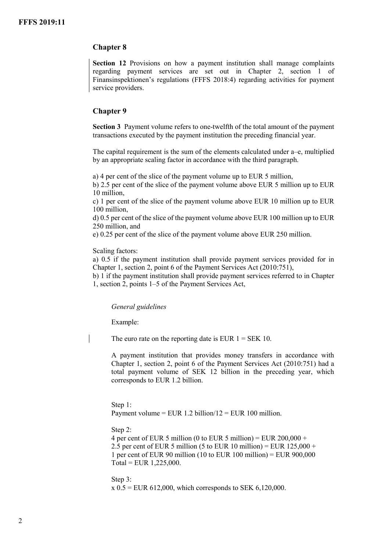#### **Chapter 8**

**Section 12** Provisions on how a payment institution shall manage complaints regarding payment services are set out in Chapter 2, section 1 of Finansinspektionen's regulations (FFFS 2018:4) regarding activities for payment service providers.

#### **Chapter 9**

**Section 3** Payment volume refers to one-twelfth of the total amount of the payment transactions executed by the payment institution the preceding financial year.

The capital requirement is the sum of the elements calculated under a–e, multiplied by an appropriate scaling factor in accordance with the third paragraph.

a) 4 per cent of the slice of the payment volume up to EUR 5 million,

b) 2.5 per cent of the slice of the payment volume above EUR 5 million up to EUR 10 million,

c) 1 per cent of the slice of the payment volume above EUR 10 million up to EUR 100 million,

d) 0.5 per cent of the slice of the payment volume above EUR 100 million up to EUR 250 million, and

e) 0.25 per cent of the slice of the payment volume above EUR 250 million.

Scaling factors:

a) 0.5 if the payment institution shall provide payment services provided for in Chapter 1, section 2, point 6 of the Payment Services Act (2010:751),

b) 1 if the payment institution shall provide payment services referred to in Chapter 1, section 2, points 1–5 of the Payment Services Act,

*General guidelines*

Example:

The euro rate on the reporting date is EUR  $1 = SEK 10$ .

A payment institution that provides money transfers in accordance with Chapter 1, section 2, point 6 of the Payment Services Act (2010:751) had a total payment volume of SEK 12 billion in the preceding year, which corresponds to EUR 1.2 billion.

#### Step 1:

Payment volume = EUR 1.2 billion/ $12$  = EUR 100 million.

#### Step 2:

4 per cent of EUR 5 million (0 to EUR 5 million) = EUR  $200,000 +$ 2.5 per cent of EUR 5 million (5 to EUR 10 million) = EUR  $125,000 +$ 1 per cent of EUR 90 million (10 to EUR 100 million) = EUR 900,000  $Total = EUR 1,225,000.$ 

Step 3:  $x 0.5$  = EUR 612,000, which corresponds to SEK 6,120,000.